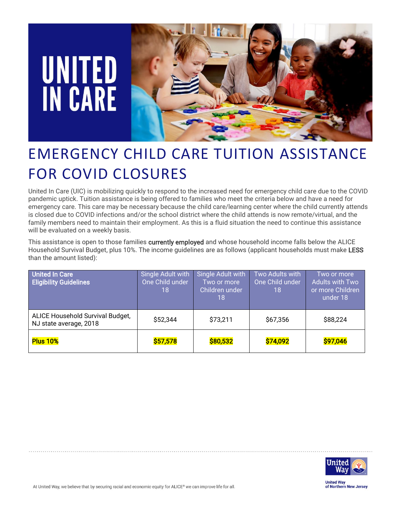# **UNITED<br>IN CARE**



## EMERGENCY CHILD CARE TUITION ASSISTANCE FOR COVID CLOSURES

United In Care (UIC) is mobilizing quickly to respond to the increased need for emergency child care due to the COVID pandemic uptick. Tuition assistance is being offered to families who meet the criteria below and have a need for emergency care. This care may be necessary because the child care/learning center where the child currently attends is closed due to COVID infections and/or the school district where the child attends is now remote/virtual, and the family members need to maintain their employment. As this is a fluid situation the need to continue this assistance will be evaluated on a weekly basis.

This assistance is open to those families currently employed and whose household income falls below the ALICE Household Survival Budget, plus 10%. The income guidelines are as follows (applicant households must make LESS than the amount listed):

| <b>United In Care</b><br><b>Eligibility Guidelines</b>     | Single Adult with<br>One Child under<br>18 | Single Adult with<br>Two or more<br>Children under<br>18 | Two Adults with<br>One Child under<br>18 | Two or more<br><b>Adults with Two</b><br>or more Children<br>under 18 |
|------------------------------------------------------------|--------------------------------------------|----------------------------------------------------------|------------------------------------------|-----------------------------------------------------------------------|
| ALICE Household Survival Budget,<br>NJ state average, 2018 | \$52,344                                   | \$73,211                                                 | \$67,356                                 | \$88,224                                                              |
| <b>Plus 10%</b>                                            | \$57,578                                   | \$80,532                                                 | \$74,092                                 | \$97,046                                                              |



**United Way** of Northern New Jersey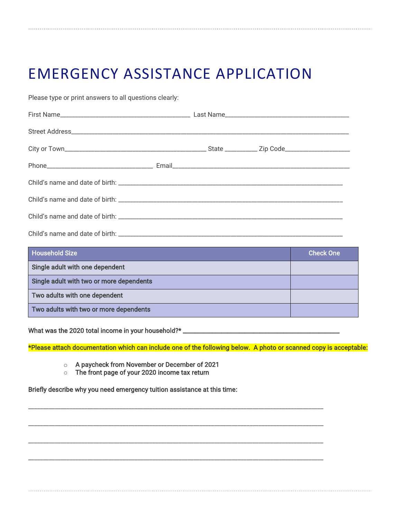### EMERGENCY ASSISTANCE APPLICATION

Please type or print answers to all questions clearly:

| <b>Household Size</b>                    | <b>Check One</b> |
|------------------------------------------|------------------|
| Single adult with one dependent          |                  |
| Single adult with two or more dependents |                  |
| Two adults with one dependent            |                  |
| Two adults with two or more dependents   |                  |

What was the 2020 total income in your household?\* \_\_\_\_\_\_\_\_\_\_\_\_\_\_\_\_\_\_\_\_\_\_\_\_\_\_\_\_\_

\*Please attach documentation which can include one of the following below. A photo or scanned copy is acceptable:

\_\_\_\_\_\_\_\_\_\_\_\_\_\_\_\_\_\_\_\_\_\_\_\_\_\_\_\_\_\_\_\_\_\_\_\_\_\_\_\_\_\_\_\_\_\_\_\_\_\_\_\_\_\_\_\_\_\_\_\_\_\_\_\_\_\_\_\_\_\_\_\_\_\_\_\_\_\_\_\_\_\_\_\_\_\_\_\_\_\_\_\_\_\_\_\_\_\_\_\_

\_\_\_\_\_\_\_\_\_\_\_\_\_\_\_\_\_\_\_\_\_\_\_\_\_\_\_\_\_\_\_\_\_\_\_\_\_\_\_\_\_\_\_\_\_\_\_\_\_\_\_\_\_\_\_\_\_\_\_\_\_\_\_\_\_\_\_\_\_\_\_\_\_\_\_\_\_\_\_\_\_\_\_\_\_\_\_\_\_\_\_\_\_\_\_\_\_\_\_\_

\_\_\_\_\_\_\_\_\_\_\_\_\_\_\_\_\_\_\_\_\_\_\_\_\_\_\_\_\_\_\_\_\_\_\_\_\_\_\_\_\_\_\_\_\_\_\_\_\_\_\_\_\_\_\_\_\_\_\_\_\_\_\_\_\_\_\_\_\_\_\_\_\_\_\_\_\_\_\_\_\_\_\_\_\_\_\_\_\_\_\_\_\_\_\_\_\_\_\_\_

\_\_\_\_\_\_\_\_\_\_\_\_\_\_\_\_\_\_\_\_\_\_\_\_\_\_\_\_\_\_\_\_\_\_\_\_\_\_\_\_\_\_\_\_\_\_\_\_\_\_\_\_\_\_\_\_\_\_\_\_\_\_\_\_\_\_\_\_\_\_\_\_\_\_\_\_\_\_\_\_\_\_\_\_\_\_\_\_\_\_\_\_\_\_\_\_\_\_\_\_

- o A paycheck from November or December of 2021
- o The front page of your 2020 income tax return

Briefly describe why you need emergency tuition assistance at this time: